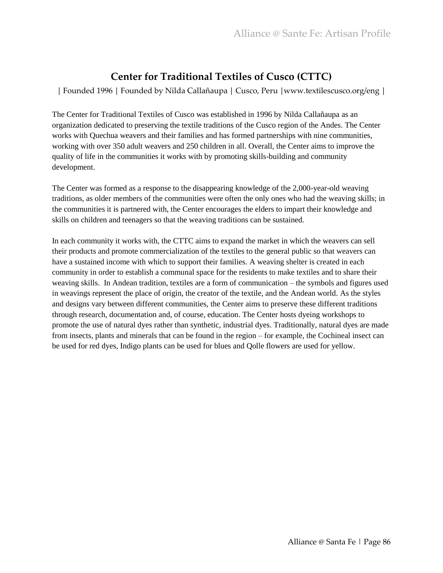## **Center for Traditional Textiles of Cusco (CTTC)**

│ Founded 1996 │ Founded by Nilda Callañaupa │ Cusco, Peru │www.textilescusco.org/eng │

The Center for Traditional Textiles of Cusco was established in 1996 by Nilda Callañaupa as an organization dedicated to preserving the textile traditions of the Cusco region of the Andes. The Center works with Quechua weavers and their families and has formed partnerships with nine communities, working with over 350 adult weavers and 250 children in all. Overall, the Center aims to improve the quality of life in the communities it works with by promoting skills-building and community development.

The Center was formed as a response to the disappearing knowledge of the 2,000-year-old weaving traditions, as older members of the communities were often the only ones who had the weaving skills; in the communities it is partnered with, the Center encourages the elders to impart their knowledge and skills on children and teenagers so that the weaving traditions can be sustained.

In each community it works with, the CTTC aims to expand the market in which the weavers can sell their products and promote commercialization of the textiles to the general public so that weavers can have a sustained income with which to support their families. A weaving shelter is created in each community in order to establish a communal space for the residents to make textiles and to share their weaving skills. In Andean tradition, textiles are a form of communication – the symbols and figures used in weavings represent the place of origin, the creator of the textile, and the Andean world. As the styles and designs vary between different communities, the Center aims to preserve these different traditions through research, documentation and, of course, education. The Center hosts dyeing workshops to promote the use of natural dyes rather than synthetic, industrial dyes. Traditionally, natural dyes are made from insects, plants and minerals that can be found in the region – for example, the Cochineal insect can be used for red dyes, Indigo plants can be used for blues and Qolle flowers are used for yellow.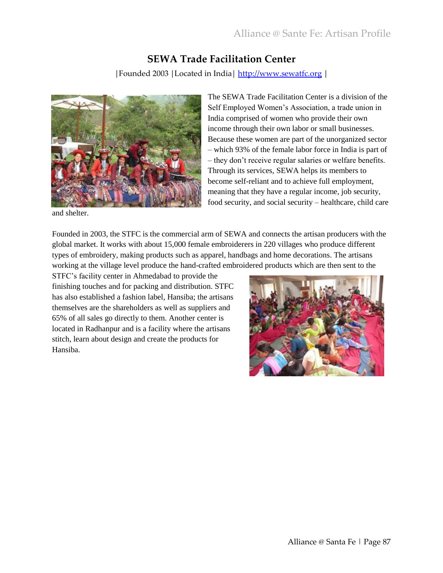### **SEWA Trade Facilitation Center**

│Founded 2003 │Located in India│ [http://www.sewatfc.org](http://www.sewatfc.org/) │



and shelter.

The SEWA Trade Facilitation Center is a division of the Self Employed Women's Association, a trade union in India comprised of women who provide their own income through their own labor or small businesses. Because these women are part of the unorganized sector – which 93% of the female labor force in India is part of – they don't receive regular salaries or welfare benefits. Through its services, SEWA helps its members to become self-reliant and to achieve full employment, meaning that they have a regular income, job security, food security, and social security – healthcare, child care

Founded in 2003, the STFC is the commercial arm of SEWA and connects the artisan producers with the global market. It works with about 15,000 female embroiderers in 220 villages who produce different types of embroidery, making products such as apparel, handbags and home decorations. The artisans working at the village level produce the hand-crafted embroidered products which are then sent to the

STFC's facility center in Ahmedabad to provide the finishing touches and for packing and distribution. STFC has also established a fashion label, Hansiba; the artisans themselves are the shareholders as well as suppliers and 65% of all sales go directly to them. Another center is located in Radhanpur and is a facility where the artisans stitch, learn about design and create the products for Hansiba.

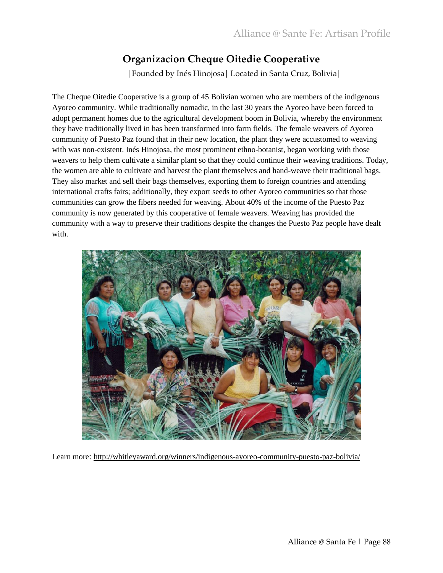# **Organizacion Cheque Oitedie Cooperative**

│Founded by Inés Hinojosa│ Located in Santa Cruz, Bolivia│

The Cheque Oitedie Cooperative is a group of 45 Bolivian women who are members of the indigenous Ayoreo community. While traditionally nomadic, in the last 30 years the Ayoreo have been forced to adopt permanent homes due to the agricultural development boom in Bolivia, whereby the environment they have traditionally lived in has been transformed into farm fields. The female weavers of Ayoreo community of Puesto Paz found that in their new location, the plant they were accustomed to weaving with was non-existent. Inés Hinojosa, the most prominent ethno-botanist, began working with those weavers to help them cultivate a similar plant so that they could continue their weaving traditions. Today, the women are able to cultivate and harvest the plant themselves and hand-weave their traditional bags. They also market and sell their bags themselves, exporting them to foreign countries and attending international crafts fairs; additionally, they export seeds to other Ayoreo communities so that those communities can grow the fibers needed for weaving. About 40% of the income of the Puesto Paz community is now generated by this cooperative of female weavers. Weaving has provided the community with a way to preserve their traditions despite the changes the Puesto Paz people have dealt with.



Learn more: <http://whitleyaward.org/winners/indigenous-ayoreo-community-puesto-paz-bolivia/>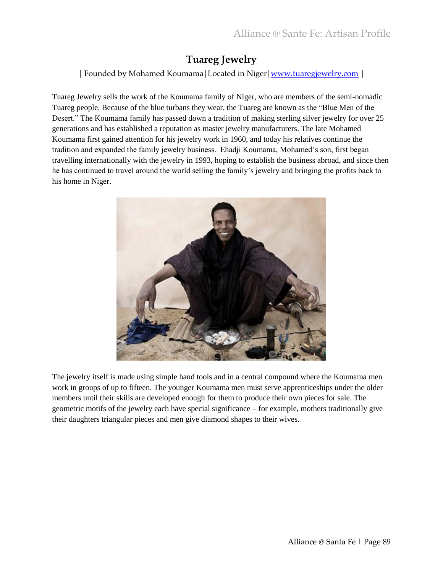## **Tuareg Jewelry**

│ Founded by Mohamed Koumama│Located in Niger│[www.tuaregjewelry.com](http://www.tuaregjewelry.com/) │

Tuareg Jewelry sells the work of the Koumama family of Niger, who are members of the semi-nomadic Tuareg people. Because of the blue turbans they wear, the Tuareg are known as the "Blue Men of the Desert." The Koumama family has passed down a tradition of making sterling silver jewelry for over 25 generations and has established a reputation as master jewelry manufacturers. The late Mohamed Koumama first gained attention for his jewelry work in 1960, and today his relatives continue the tradition and expanded the family jewelry business. Ehadji Koumama, Mohamed's son, first began travelling internationally with the jewelry in 1993, hoping to establish the business abroad, and since then he has continued to travel around the world selling the family's jewelry and bringing the profits back to his home in Niger.



The jewelry itself is made using simple hand tools and in a central compound where the Koumama men work in groups of up to fifteen. The younger Koumama men must serve apprenticeships under the older members until their skills are developed enough for them to produce their own pieces for sale. The geometric motifs of the jewelry each have special significance – for example, mothers traditionally give their daughters triangular pieces and men give diamond shapes to their wives.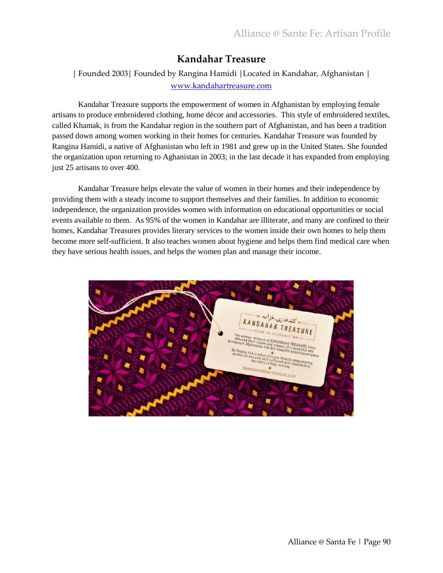### **Kandahar Treasure**

│ Founded 2003│ Founded by Rangina Hamidi │Located in Kandahar, Afghanistan │ [www.kandahartreasure.com](http://www.kandahartreasure.com/)

Kandahar Treasure supports the empowerment of women in Afghanistan by employing female artisans to produce embroidered clothing, home décor and accessories. This style of embroidered textiles, called Khamak, is from the Kandahar region in the southern part of Afghanistan, and has been a tradition passed down among women working in their homes for centuries. Kandahar Treasure was founded by Rangina Hamidi, a native of Afghanistan who left in 1981 and grew up in the United States. She founded the organization upon returning to Aghanistan in 2003; in the last decade it has expanded from employing just 25 artisans to over 400.

Kandahar Treasure helps elevate the value of women in their homes and their independence by providing them with a steady income to support themselves and their families. In addition to economic independence, the organization provides women with information on educational opportunities or social events available to them. As 95% of the women in Kandahar are illiterate, and many are confined to their homes, Kandahar Treasures provides literary services to the women inside their own homes to help them become more self-sufficient. It also teaches women about hygiene and helps them find medical care when they have serious health issues, and helps the women plan and manage their income.

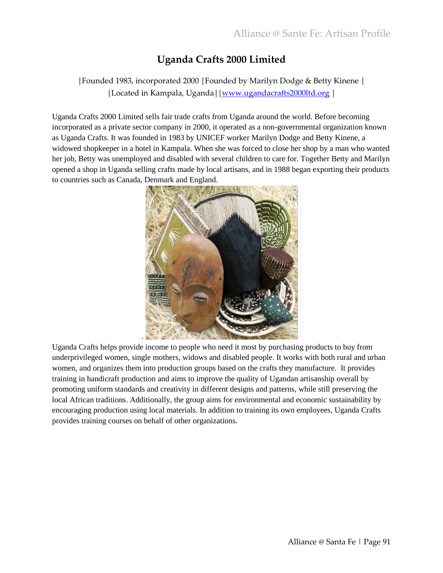## **Uganda Crafts 2000 Limited**

#### │Founded 1983, incorporated 2000 │Founded by Marilyn Dodge & Betty Kinene │ │Located in Kampala, Uganda││[www.ugandacrafts2000ltd.org](http://www.ugandacrafts2000ltd.org/) │

Uganda Crafts 2000 Limited sells fair trade crafts from Uganda around the world. Before becoming incorporated as a private sector company in 2000, it operated as a non-governmental organization known as Uganda Crafts. It was founded in 1983 by UNICEF worker Marilyn Dodge and Betty Kinene, a widowed shopkeeper in a hotel in Kampala. When she was forced to close her shop by a man who wanted her job, Betty was unemployed and disabled with several children to care for. Together Betty and Marilyn opened a shop in Uganda selling crafts made by local artisans, and in 1988 began exporting their products to countries such as Canada, Denmark and England.



Uganda Crafts helps provide income to people who need it most by purchasing products to buy from underprivileged women, single mothers, widows and disabled people. It works with both rural and urban women, and organizes them into production groups based on the crafts they manufacture. It provides training in handicraft production and aims to improve the quality of Ugandan artisanship overall by promoting uniform standards and creativity in different designs and patterns, while still preserving the local African traditions. Additionally, the group aims for environmental and economic sustainability by encouraging production using local materials. In addition to training its own employees, Uganda Crafts provides training courses on behalf of other organizations.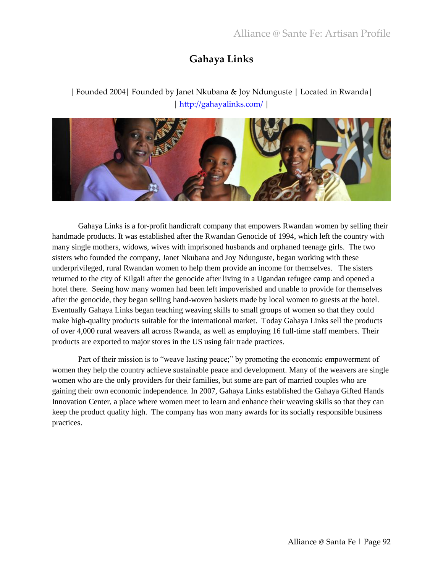## **Gahaya Links**

#### │ Founded 2004│ Founded by Janet Nkubana & Joy Ndunguste │ Located in Rwanda│ │ <http://gahayalinks.com/> │



Gahaya Links is a for-profit handicraft company that empowers Rwandan women by selling their handmade products. It was established after the Rwandan Genocide of 1994, which left the country with many single mothers, widows, wives with imprisoned husbands and orphaned teenage girls. The two sisters who founded the company, Janet Nkubana and Joy Ndunguste, began working with these underprivileged, rural Rwandan women to help them provide an income for themselves. The sisters returned to the city of Kilgali after the genocide after living in a Ugandan refugee camp and opened a hotel there. Seeing how many women had been left impoverished and unable to provide for themselves after the genocide, they began selling hand-woven baskets made by local women to guests at the hotel. Eventually Gahaya Links began teaching weaving skills to small groups of women so that they could make high-quality products suitable for the international market. Today Gahaya Links sell the products of over 4,000 rural weavers all across Rwanda, as well as employing 16 full-time staff members. Their products are exported to major stores in the US using fair trade practices.

Part of their mission is to "weave lasting peace;" by promoting the economic empowerment of women they help the country achieve sustainable peace and development. Many of the weavers are single women who are the only providers for their families, but some are part of married couples who are gaining their own economic independence. In 2007, Gahaya Links established the Gahaya Gifted Hands Innovation Center, a place where women meet to learn and enhance their weaving skills so that they can keep the product quality high. The company has won many awards for its socially responsible business practices.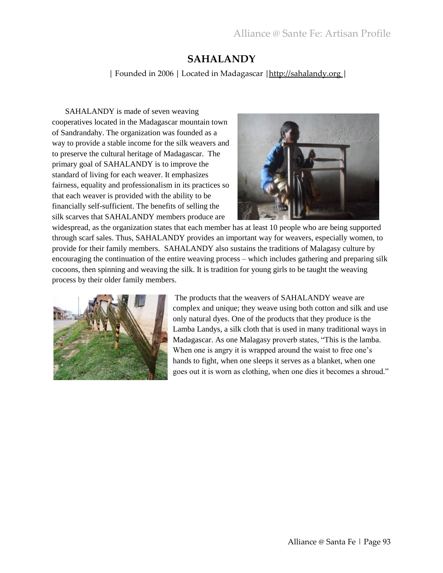### **SAHALANDY**

│ Founded in 2006 │ Located in Madagascar │[http://sahalandy.org](http://sahalandy.org/) │

SAHALANDY is made of seven weaving cooperatives located in the Madagascar mountain town of Sandrandahy. The organization was founded as a way to provide a stable income for the silk weavers and to preserve the cultural heritage of Madagascar. The primary goal of SAHALANDY is to improve the standard of living for each weaver. It emphasizes fairness, equality and professionalism in its practices so that each weaver is provided with the ability to be financially self-sufficient. The benefits of selling the silk scarves that SAHALANDY members produce are



widespread, as the organization states that each member has at least 10 people who are being supported through scarf sales. Thus, SAHALANDY provides an important way for weavers, especially women, to provide for their family members. SAHALANDY also sustains the traditions of Malagasy culture by encouraging the continuation of the entire weaving process – which includes gathering and preparing silk cocoons, then spinning and weaving the silk. It is tradition for young girls to be taught the weaving process by their older family members.



The products that the weavers of SAHALANDY weave are complex and unique; they weave using both cotton and silk and use only natural dyes. One of the products that they produce is the Lamba Landys, a silk cloth that is used in many traditional ways in Madagascar. As one Malagasy proverb states, "This is the lamba. When one is angry it is wrapped around the waist to free one's hands to fight, when one sleeps it serves as a blanket, when one goes out it is worn as clothing, when one dies it becomes a shroud."